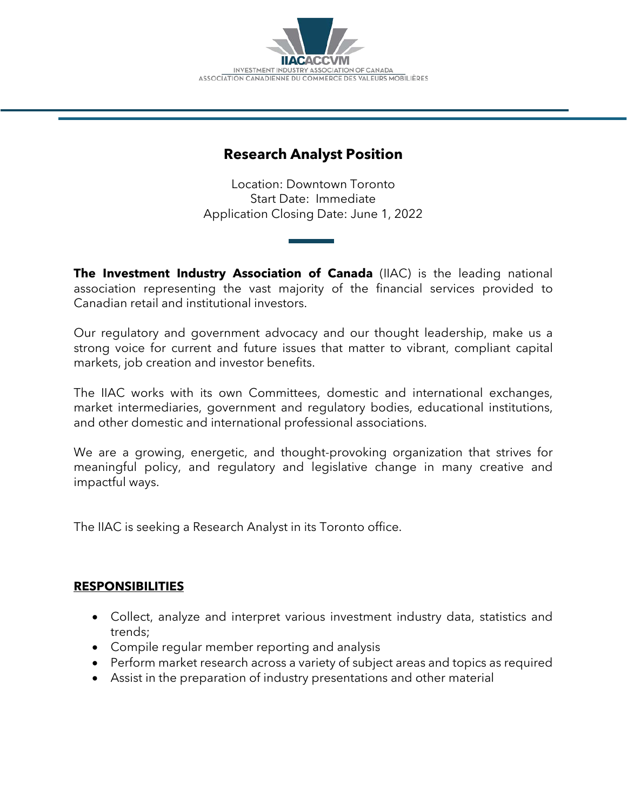

# **Research Analyst Position**

Location: Downtown Toronto Start Date: Immediate Application Closing Date: June 1, 2022

**The Investment Industry Association of Canada** (IIAC) is the leading national association representing the vast majority of the financial services provided to Canadian retail and institutional investors.

Our regulatory and government advocacy and our thought leadership, make us a strong voice for current and future issues that matter to vibrant, compliant capital markets, job creation and investor benefits.

The IIAC works with its own Committees, domestic and international exchanges, market intermediaries, government and regulatory bodies, educational institutions, and other domestic and international professional associations.

We are a growing, energetic, and thought-provoking organization that strives for meaningful policy, and regulatory and legislative change in many creative and impactful ways.

The IIAC is seeking a Research Analyst in its Toronto office.

#### **RESPONSIBILITIES**

- Collect, analyze and interpret various investment industry data, statistics and trends;
- Compile regular member reporting and analysis
- Perform market research across a variety of subject areas and topics as required
- Assist in the preparation of industry presentations and other material